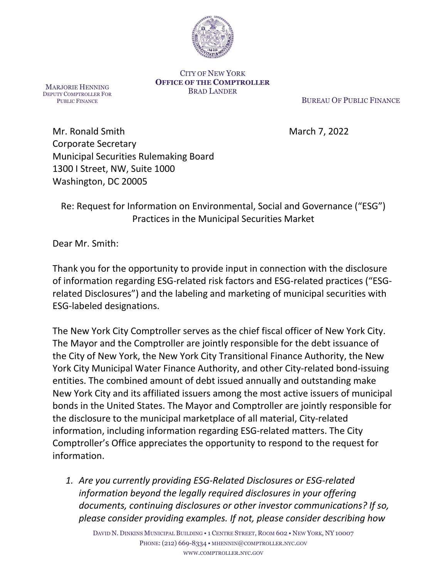

#### CITY OF NEW YORK **OFFICE OF THE COMPTROLLER** BRAD LANDER

MARJORIE HENNING DEPUTY COMPTROLLER FOR PUBLIC FINANCE

BUREAU OF PUBLIC FINANCE

Mr. Ronald Smith March 7, 2022 Corporate Secretary Municipal Securities Rulemaking Board 1300 I Street, NW, Suite 1000 Washington, DC 20005

Re: Request for Information on Environmental, Social and Governance ("ESG") Practices in the Municipal Securities Market

Dear Mr. Smith:

Thank you for the opportunity to provide input in connection with the disclosure of information regarding ESG-related risk factors and ESG-related practices ("ESGrelated Disclosures") and the labeling and marketing of municipal securities with ESG-labeled designations.

The New York City Comptroller serves as the chief fiscal officer of New York City. The Mayor and the Comptroller are jointly responsible for the debt issuance of the City of New York, the New York City Transitional Finance Authority, the New York City Municipal Water Finance Authority, and other City-related bond-issuing entities. The combined amount of debt issued annually and outstanding make New York City and its affiliated issuers among the most active issuers of municipal bonds in the United States. The Mayor and Comptroller are jointly responsible for the disclosure to the municipal marketplace of all material, City-related information, including information regarding ESG-related matters. The City Comptroller's Office appreciates the opportunity to respond to the request for information.

*1. Are you currently providing ESG-Related Disclosures or ESG-related information beyond the legally required disclosures in your offering documents, continuing disclosures or other investor communications? If so, please consider providing examples. If not, please consider describing how* 

DAVID N. DINKINS MUNICIPAL BUILDING • 1 CENTRE STREET, ROOM 602 • NEW YORK, NY 10007 PHONE: (212) 669-8334 • MHENNIN@COMPTROLLER.NYC.GOV WWW.COMPTROLLER.NYC.GOV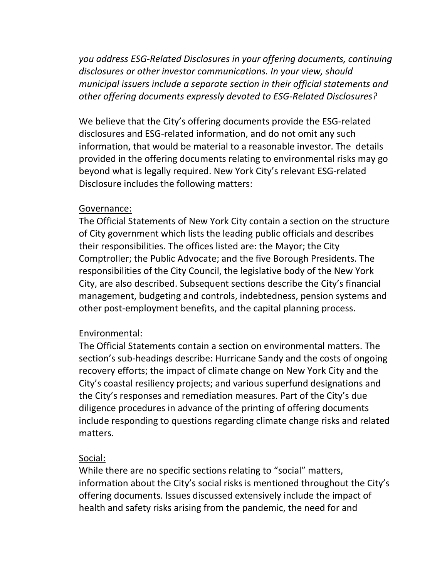*you address ESG-Related Disclosures in your offering documents, continuing disclosures or other investor communications. In your view, should municipal issuers include a separate section in their official statements and other offering documents expressly devoted to ESG-Related Disclosures?*

We believe that the City's offering documents provide the ESG-related disclosures and ESG-related information, and do not omit any such information, that would be material to a reasonable investor. The details provided in the offering documents relating to environmental risks may go beyond what is legally required. New York City's relevant ESG-related Disclosure includes the following matters:

### Governance:

The Official Statements of New York City contain a section on the structure of City government which lists the leading public officials and describes their responsibilities. The offices listed are: the Mayor; the City Comptroller; the Public Advocate; and the five Borough Presidents. The responsibilities of the City Council, the legislative body of the New York City, are also described. Subsequent sections describe the City's financial management, budgeting and controls, indebtedness, pension systems and other post-employment benefits, and the capital planning process.

### Environmental:

The Official Statements contain a section on environmental matters. The section's sub-headings describe: Hurricane Sandy and the costs of ongoing recovery efforts; the impact of climate change on New York City and the City's coastal resiliency projects; and various superfund designations and the City's responses and remediation measures. Part of the City's due diligence procedures in advance of the printing of offering documents include responding to questions regarding climate change risks and related matters.

### Social:

While there are no specific sections relating to "social" matters, information about the City's social risks is mentioned throughout the City's offering documents. Issues discussed extensively include the impact of health and safety risks arising from the pandemic, the need for and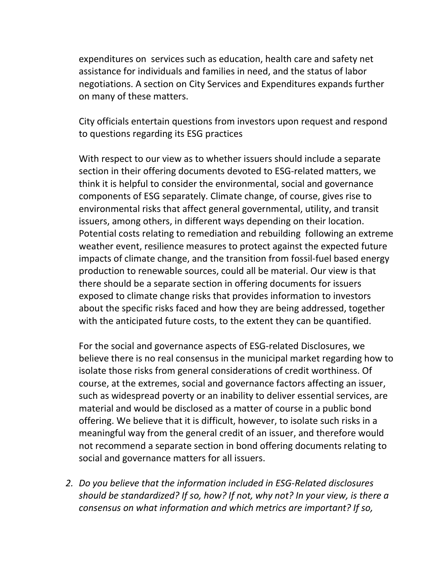expenditures on services such as education, health care and safety net assistance for individuals and families in need, and the status of labor negotiations. A section on City Services and Expenditures expands further on many of these matters.

City officials entertain questions from investors upon request and respond to questions regarding its ESG practices

With respect to our view as to whether issuers should include a separate section in their offering documents devoted to ESG-related matters, we think it is helpful to consider the environmental, social and governance components of ESG separately. Climate change, of course, gives rise to environmental risks that affect general governmental, utility, and transit issuers, among others, in different ways depending on their location. Potential costs relating to remediation and rebuilding following an extreme weather event, resilience measures to protect against the expected future impacts of climate change, and the transition from fossil-fuel based energy production to renewable sources, could all be material. Our view is that there should be a separate section in offering documents for issuers exposed to climate change risks that provides information to investors about the specific risks faced and how they are being addressed, together with the anticipated future costs, to the extent they can be quantified.

For the social and governance aspects of ESG-related Disclosures, we believe there is no real consensus in the municipal market regarding how to isolate those risks from general considerations of credit worthiness. Of course, at the extremes, social and governance factors affecting an issuer, such as widespread poverty or an inability to deliver essential services, are material and would be disclosed as a matter of course in a public bond offering. We believe that it is difficult, however, to isolate such risks in a meaningful way from the general credit of an issuer, and therefore would not recommend a separate section in bond offering documents relating to social and governance matters for all issuers.

*2. Do you believe that the information included in ESG-Related disclosures should be standardized? If so, how? If not, why not? In your view, is there a consensus on what information and which metrics are important? If so,*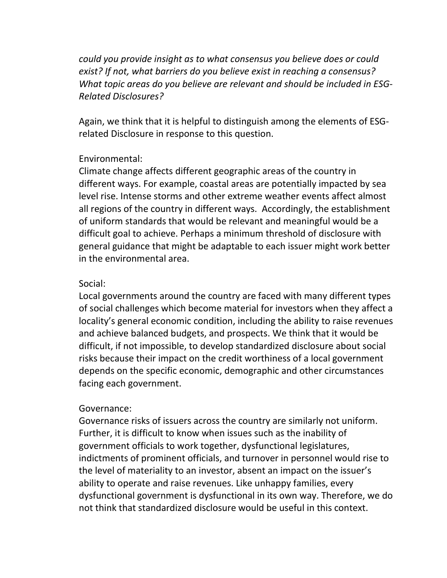*could you provide insight as to what consensus you believe does or could exist? If not, what barriers do you believe exist in reaching a consensus? What topic areas do you believe are relevant and should be included in ESG-Related Disclosures?*

Again, we think that it is helpful to distinguish among the elements of ESGrelated Disclosure in response to this question.

### Environmental:

Climate change affects different geographic areas of the country in different ways. For example, coastal areas are potentially impacted by sea level rise. Intense storms and other extreme weather events affect almost all regions of the country in different ways. Accordingly, the establishment of uniform standards that would be relevant and meaningful would be a difficult goal to achieve. Perhaps a minimum threshold of disclosure with general guidance that might be adaptable to each issuer might work better in the environmental area.

## Social:

Local governments around the country are faced with many different types of social challenges which become material for investors when they affect a locality's general economic condition, including the ability to raise revenues and achieve balanced budgets, and prospects. We think that it would be difficult, if not impossible, to develop standardized disclosure about social risks because their impact on the credit worthiness of a local government depends on the specific economic, demographic and other circumstances facing each government.

# Governance:

Governance risks of issuers across the country are similarly not uniform. Further, it is difficult to know when issues such as the inability of government officials to work together, dysfunctional legislatures, indictments of prominent officials, and turnover in personnel would rise to the level of materiality to an investor, absent an impact on the issuer's ability to operate and raise revenues. Like unhappy families, every dysfunctional government is dysfunctional in its own way. Therefore, we do not think that standardized disclosure would be useful in this context.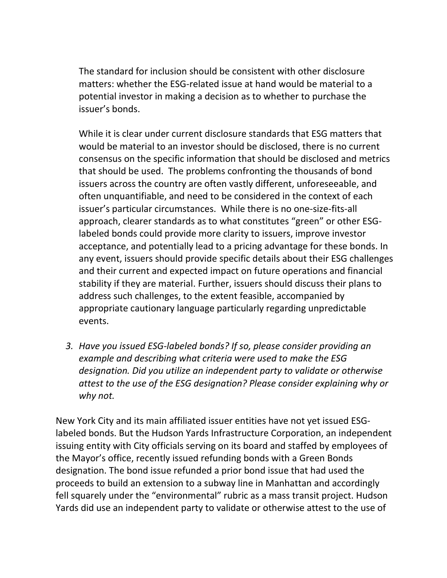The standard for inclusion should be consistent with other disclosure matters: whether the ESG-related issue at hand would be material to a potential investor in making a decision as to whether to purchase the issuer's bonds.

While it is clear under current disclosure standards that ESG matters that would be material to an investor should be disclosed, there is no current consensus on the specific information that should be disclosed and metrics that should be used. The problems confronting the thousands of bond issuers across the country are often vastly different, unforeseeable, and often unquantifiable, and need to be considered in the context of each issuer's particular circumstances. While there is no one-size-fits-all approach, clearer standards as to what constitutes "green" or other ESGlabeled bonds could provide more clarity to issuers, improve investor acceptance, and potentially lead to a pricing advantage for these bonds. In any event, issuers should provide specific details about their ESG challenges and their current and expected impact on future operations and financial stability if they are material. Further, issuers should discuss their plans to address such challenges, to the extent feasible, accompanied by appropriate cautionary language particularly regarding unpredictable events.

*3. Have you issued ESG-labeled bonds? If so, please consider providing an example and describing what criteria were used to make the ESG designation. Did you utilize an independent party to validate or otherwise attest to the use of the ESG designation? Please consider explaining why or why not.*

New York City and its main affiliated issuer entities have not yet issued ESGlabeled bonds. But the Hudson Yards Infrastructure Corporation, an independent issuing entity with City officials serving on its board and staffed by employees of the Mayor's office, recently issued refunding bonds with a Green Bonds designation. The bond issue refunded a prior bond issue that had used the proceeds to build an extension to a subway line in Manhattan and accordingly fell squarely under the "environmental" rubric as a mass transit project. Hudson Yards did use an independent party to validate or otherwise attest to the use of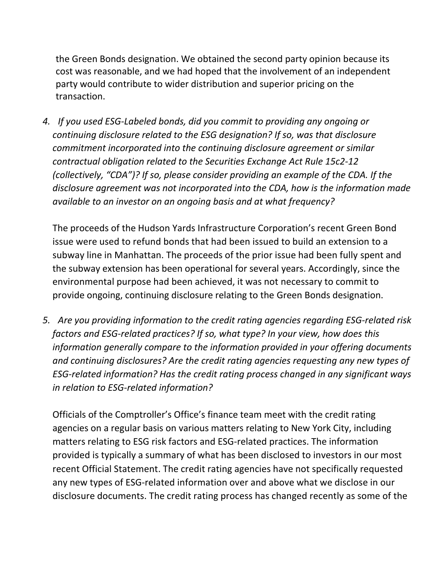the Green Bonds designation. We obtained the second party opinion because its cost was reasonable, and we had hoped that the involvement of an independent party would contribute to wider distribution and superior pricing on the transaction.

*4. If you used ESG-Labeled bonds, did you commit to providing any ongoing or continuing disclosure related to the ESG designation? If so, was that disclosure commitment incorporated into the continuing disclosure agreement or similar contractual obligation related to the Securities Exchange Act Rule 15c2-12 (collectively, "CDA")? If so, please consider providing an example of the CDA. If the disclosure agreement was not incorporated into the CDA, how is the information made available to an investor on an ongoing basis and at what frequency?*

The proceeds of the Hudson Yards Infrastructure Corporation's recent Green Bond issue were used to refund bonds that had been issued to build an extension to a subway line in Manhattan. The proceeds of the prior issue had been fully spent and the subway extension has been operational for several years. Accordingly, since the environmental purpose had been achieved, it was not necessary to commit to provide ongoing, continuing disclosure relating to the Green Bonds designation.

*5. Are you providing information to the credit rating agencies regarding ESG-related risk factors and ESG-related practices? If so, what type? In your view, how does this information generally compare to the information provided in your offering documents and continuing disclosures? Are the credit rating agencies requesting any new types of ESG-related information? Has the credit rating process changed in any significant ways in relation to ESG-related information?*

Officials of the Comptroller's Office's finance team meet with the credit rating agencies on a regular basis on various matters relating to New York City, including matters relating to ESG risk factors and ESG-related practices. The information provided is typically a summary of what has been disclosed to investors in our most recent Official Statement. The credit rating agencies have not specifically requested any new types of ESG-related information over and above what we disclose in our disclosure documents. The credit rating process has changed recently as some of the